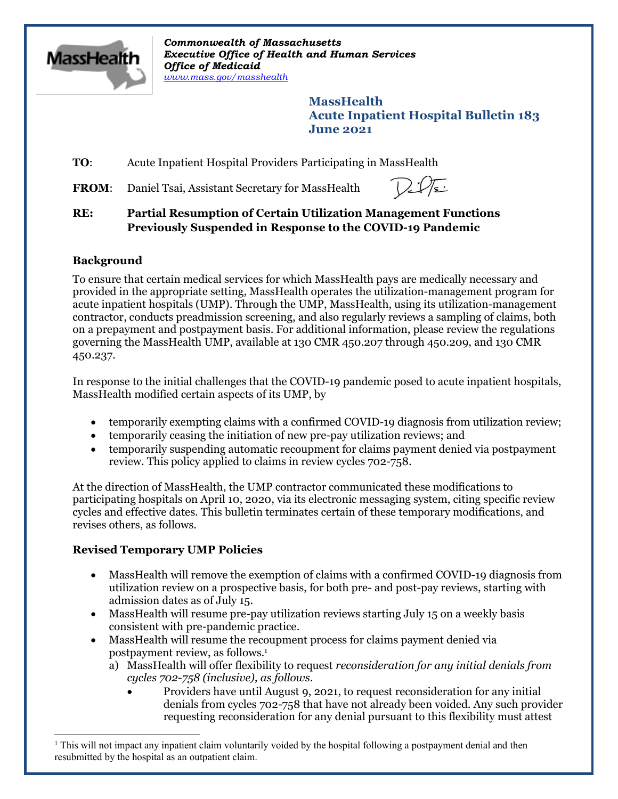

*Commonwealth of Massachusetts Executive Office of Health and Human Services Office of Medicaid [www.mass.gov/masshealth](http://www.mass.gov/masshealth)*

> **MassHealth Acute Inpatient Hospital Bulletin 183 June 2021**

# **TO:** Acute Inpatient Hospital Providers Participating in MassHealth

FROM: Daniel Tsai, Assistant Secretary for MassHealth

#### **RE: Partial Resumption of Certain Utilization Management Functions Previously Suspended in Response to the COVID-19 Pandemic**

# **Background**

To ensure that certain medical services for which MassHealth pays are medically necessary and provided in the appropriate setting, MassHealth operates the utilization-management program for acute inpatient hospitals (UMP). Through the UMP, MassHealth, using its utilization-management contractor, conducts preadmission screening, and also regularly reviews a sampling of claims, both on a prepayment and postpayment basis. For additional information, please review the regulations governing the MassHealth UMP, available at 130 CMR 450.207 through 450.209, and 130 CMR 450.237.

In response to the initial challenges that the COVID-19 pandemic posed to acute inpatient hospitals, MassHealth modified certain aspects of its UMP, by

- temporarily exempting claims with a confirmed COVID-19 diagnosis from utilization review;
- · temporarily ceasing the initiation of new pre-pay utilization reviews; and
- · temporarily suspending automatic recoupment for claims payment denied via postpayment review. This policy applied to claims in review cycles 702-758.

At the direction of MassHealth, the UMP contractor communicated these modifications to participating hospitals on April 10, 2020, via its electronic messaging system, citing specific review cycles and effective dates. This bulletin terminates certain of these temporary modifications, and revises others, as follows.

# **Revised Temporary UMP Policies**

- · MassHealth will remove the exemption of claims with a confirmed COVID-19 diagnosis from utilization review on a prospective basis, for both pre- and post-pay reviews, starting with admission dates as of July 15.
- · MassHealth will resume pre-pay utilization reviews starting July 15 on a weekly basis consistent with pre-pandemic practice.
- · MassHealth will resume the recoupment process for claims payment denied via postpayment review, as follows. [1](#page-0-0)
	- a) MassHealth will offer flexibility to request *reconsideration for any initial denials from cycles 702-758 (inclusive), as follows.*
		- · Providers have until August 9, 2021, to request reconsideration for any initial denials from cycles 702-758 that have not already been voided. Any such provider requesting reconsideration for any denial pursuant to this flexibility must attest

<span id="page-0-0"></span> $1$  This will not impact any inpatient claim voluntarily voided by the hospital following a postpayment denial and then resubmitted by the hospital as an outpatient claim.